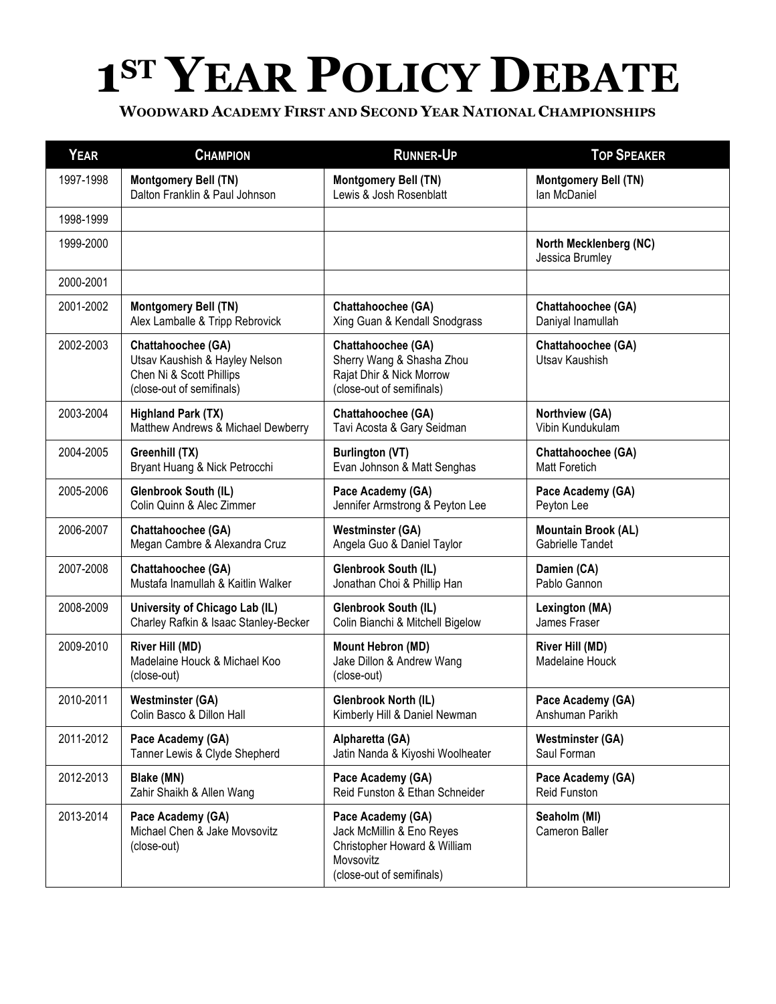## **1ST YEAR POLICY DEBATE**

| <b>YEAR</b> | <b>CHAMPION</b>                                                                                               | <b>RUNNER-UP</b>                                                                                                         | <b>TOP SPEAKER</b>                               |
|-------------|---------------------------------------------------------------------------------------------------------------|--------------------------------------------------------------------------------------------------------------------------|--------------------------------------------------|
| 1997-1998   | Montgomery Bell (TN)                                                                                          | Montgomery Bell (TN)                                                                                                     | Montgomery Bell (TN)                             |
|             | Dalton Franklin & Paul Johnson                                                                                | Lewis & Josh Rosenblatt                                                                                                  | Ian McDaniel                                     |
| 1998-1999   |                                                                                                               |                                                                                                                          |                                                  |
| 1999-2000   |                                                                                                               |                                                                                                                          | North Mecklenberg (NC)<br>Jessica Brumley        |
| 2000-2001   |                                                                                                               |                                                                                                                          |                                                  |
| 2001-2002   | Montgomery Bell (TN)                                                                                          | Chattahoochee (GA)                                                                                                       | Chattahoochee (GA)                               |
|             | Alex Lamballe & Tripp Rebrovick                                                                               | Xing Guan & Kendall Snodgrass                                                                                            | Daniyal Inamullah                                |
| 2002-2003   | Chattahoochee (GA)<br>Utsav Kaushish & Hayley Nelson<br>Chen Ni & Scott Phillips<br>(close-out of semifinals) | Chattahoochee (GA)<br>Sherry Wang & Shasha Zhou<br>Rajat Dhir & Nick Morrow<br>(close-out of semifinals)                 | Chattahoochee (GA)<br>Utsav Kaushish             |
| 2003-2004   | <b>Highland Park (TX)</b>                                                                                     | Chattahoochee (GA)                                                                                                       | Northview (GA)                                   |
|             | Matthew Andrews & Michael Dewberry                                                                            | Tavi Acosta & Gary Seidman                                                                                               | Vibin Kundukulam                                 |
| 2004-2005   | Greenhill (TX)                                                                                                | <b>Burlington (VT)</b>                                                                                                   | Chattahoochee (GA)                               |
|             | Bryant Huang & Nick Petrocchi                                                                                 | Evan Johnson & Matt Senghas                                                                                              | <b>Matt Foretich</b>                             |
| 2005-2006   | Glenbrook South (IL)                                                                                          | Pace Academy (GA)                                                                                                        | Pace Academy (GA)                                |
|             | Colin Quinn & Alec Zimmer                                                                                     | Jennifer Armstrong & Peyton Lee                                                                                          | Peyton Lee                                       |
| 2006-2007   | Chattahoochee (GA)                                                                                            | <b>Westminster (GA)</b>                                                                                                  | <b>Mountain Brook (AL)</b>                       |
|             | Megan Cambre & Alexandra Cruz                                                                                 | Angela Guo & Daniel Taylor                                                                                               | Gabrielle Tandet                                 |
| 2007-2008   | Chattahoochee (GA)                                                                                            | Glenbrook South (IL)                                                                                                     | Damien (CA)                                      |
|             | Mustafa Inamullah & Kaitlin Walker                                                                            | Jonathan Choi & Phillip Han                                                                                              | Pablo Gannon                                     |
| 2008-2009   | University of Chicago Lab (IL)                                                                                | Glenbrook South (IL)                                                                                                     | Lexington (MA)                                   |
|             | Charley Rafkin & Isaac Stanley-Becker                                                                         | Colin Bianchi & Mitchell Bigelow                                                                                         | James Fraser                                     |
| 2009-2010   | River Hill (MD)<br>Madelaine Houck & Michael Koo<br>(close-out)                                               | <b>Mount Hebron (MD)</b><br>Jake Dillon & Andrew Wang<br>(close-out)                                                     | <b>River Hill (MD)</b><br><b>Madelaine Houck</b> |
| 2010-2011   | Westminster (GA)                                                                                              | Glenbrook North (IL)                                                                                                     | Pace Academy (GA)                                |
|             | Colin Basco & Dillon Hall                                                                                     | Kimberly Hill & Daniel Newman                                                                                            | Anshuman Parikh                                  |
| 2011-2012   | Pace Academy (GA)                                                                                             | Alpharetta (GA)                                                                                                          | <b>Westminster (GA)</b>                          |
|             | Tanner Lewis & Clyde Shepherd                                                                                 | Jatin Nanda & Kiyoshi Woolheater                                                                                         | Saul Forman                                      |
| 2012-2013   | Blake (MN)                                                                                                    | Pace Academy (GA)                                                                                                        | Pace Academy (GA)                                |
|             | Zahir Shaikh & Allen Wang                                                                                     | Reid Funston & Ethan Schneider                                                                                           | Reid Funston                                     |
| 2013-2014   | Pace Academy (GA)<br>Michael Chen & Jake Movsovitz<br>(close-out)                                             | Pace Academy (GA)<br>Jack McMillin & Eno Reyes<br>Christopher Howard & William<br>Movsovitz<br>(close-out of semifinals) | Seaholm (MI)<br>Cameron Baller                   |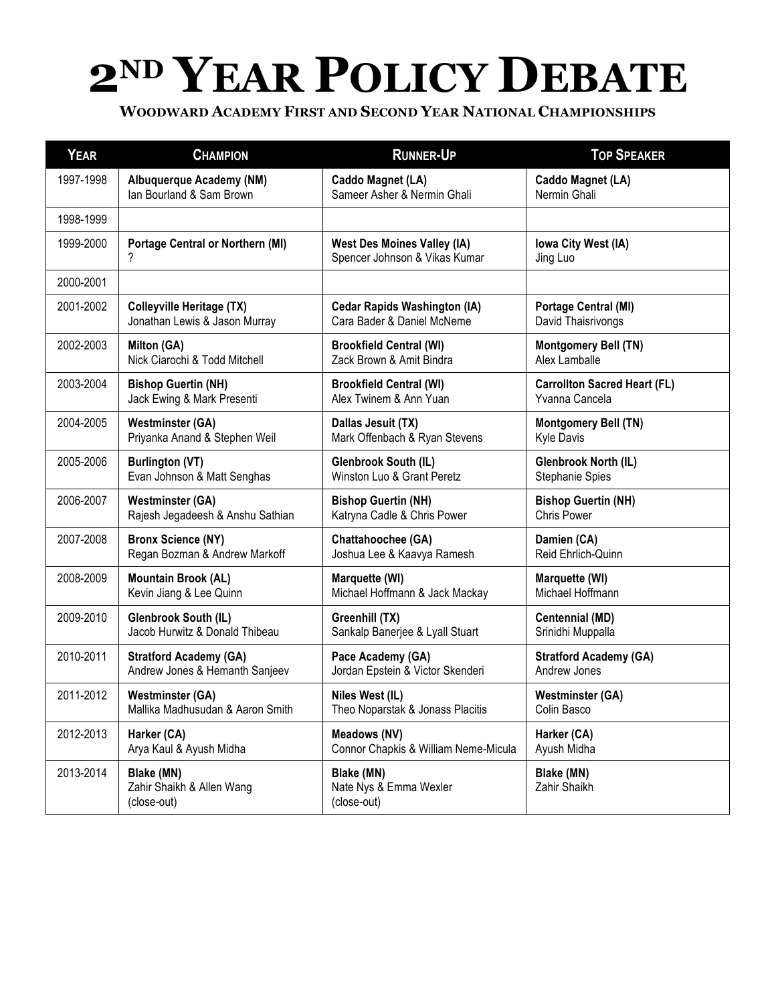## **2ND YEAR POLICY DEBATE**

| <b>YEAR</b> | <b>CHAMPION</b>                                        | <b>RUNNER-UP</b>                                    | <b>TOP SPEAKER</b>                  |
|-------------|--------------------------------------------------------|-----------------------------------------------------|-------------------------------------|
| 1997-1998   | <b>Albuquerque Academy (NM)</b>                        | Caddo Magnet (LA)                                   | Caddo Magnet (LA)                   |
|             | Ian Bourland & Sam Brown                               | Sameer Asher & Nermin Ghali                         | Nermin Ghali                        |
| 1998-1999   |                                                        |                                                     |                                     |
| 1999-2000   | <b>Portage Central or Northern (MI)</b>                | <b>West Des Moines Valley (IA)</b>                  | Iowa City West (IA)                 |
|             | ?                                                      | Spencer Johnson & Vikas Kumar                       | Jing Luo                            |
| 2000-2001   |                                                        |                                                     |                                     |
| 2001-2002   | <b>Colleyville Heritage (TX)</b>                       | <b>Cedar Rapids Washington (IA)</b>                 | <b>Portage Central (MI)</b>         |
|             | Jonathan Lewis & Jason Murray                          | Cara Bader & Daniel McNeme                          | David Thaisrivongs                  |
| 2002-2003   | Milton (GA)                                            | <b>Brookfield Central (WI)</b>                      | <b>Montgomery Bell (TN)</b>         |
|             | Nick Ciarochi & Todd Mitchell                          | Zack Brown & Amit Bindra                            | Alex Lamballe                       |
| 2003-2004   | <b>Bishop Guertin (NH)</b>                             | <b>Brookfield Central (WI)</b>                      | <b>Carrollton Sacred Heart (FL)</b> |
|             | Jack Ewing & Mark Presenti                             | Alex Twinem & Ann Yuan                              | Yvanna Cancela                      |
| 2004-2005   | <b>Westminster (GA)</b>                                | Dallas Jesuit (TX)                                  | Montgomery Bell (TN)                |
|             | Priyanka Anand & Stephen Weil                          | Mark Offenbach & Ryan Stevens                       | <b>Kyle Davis</b>                   |
| 2005-2006   | <b>Burlington (VT)</b>                                 | <b>Glenbrook South (IL)</b>                         | Glenbrook North (IL)                |
|             | Evan Johnson & Matt Senghas                            | Winston Luo & Grant Peretz                          | Stephanie Spies                     |
| 2006-2007   | <b>Westminster (GA)</b>                                | <b>Bishop Guertin (NH)</b>                          | <b>Bishop Guertin (NH)</b>          |
|             | Rajesh Jegadeesh & Anshu Sathian                       | Katryna Cadle & Chris Power                         | Chris Power                         |
| 2007-2008   | <b>Bronx Science (NY)</b>                              | Chattahoochee (GA)                                  | Damien (CA)                         |
|             | Regan Bozman & Andrew Markoff                          | Joshua Lee & Kaavya Ramesh                          | Reid Ehrlich-Quinn                  |
| 2008-2009   | <b>Mountain Brook (AL)</b>                             | Marquette (WI)                                      | Marquette (WI)                      |
|             | Kevin Jiang & Lee Quinn                                | Michael Hoffmann & Jack Mackay                      | Michael Hoffmann                    |
| 2009-2010   | Glenbrook South (IL)                                   | Greenhill (TX)                                      | <b>Centennial (MD)</b>              |
|             | Jacob Hurwitz & Donald Thibeau                         | Sankalp Banerjee & Lyall Stuart                     | Srinidhi Muppalla                   |
| 2010-2011   | <b>Stratford Academy (GA)</b>                          | Pace Academy (GA)                                   | <b>Stratford Academy (GA)</b>       |
|             | Andrew Jones & Hemanth Sanjeev                         | Jordan Epstein & Victor Skenderi                    | Andrew Jones                        |
| 2011-2012   | <b>Westminster (GA)</b>                                | Niles West (IL)                                     | <b>Westminster (GA)</b>             |
|             | Mallika Madhusudan & Aaron Smith                       | Theo Noparstak & Jonass Placitis                    | Colin Basco                         |
| 2012-2013   | Harker (CA)                                            | <b>Meadows (NV)</b>                                 | Harker (CA)                         |
|             | Arya Kaul & Ayush Midha                                | Connor Chapkis & William Neme-Micula                | Ayush Midha                         |
| 2013-2014   | Blake (MN)<br>Zahir Shaikh & Allen Wang<br>(close-out) | Blake (MN)<br>Nate Nys & Emma Wexler<br>(close-out) | Blake (MN)<br>Zahir Shaikh          |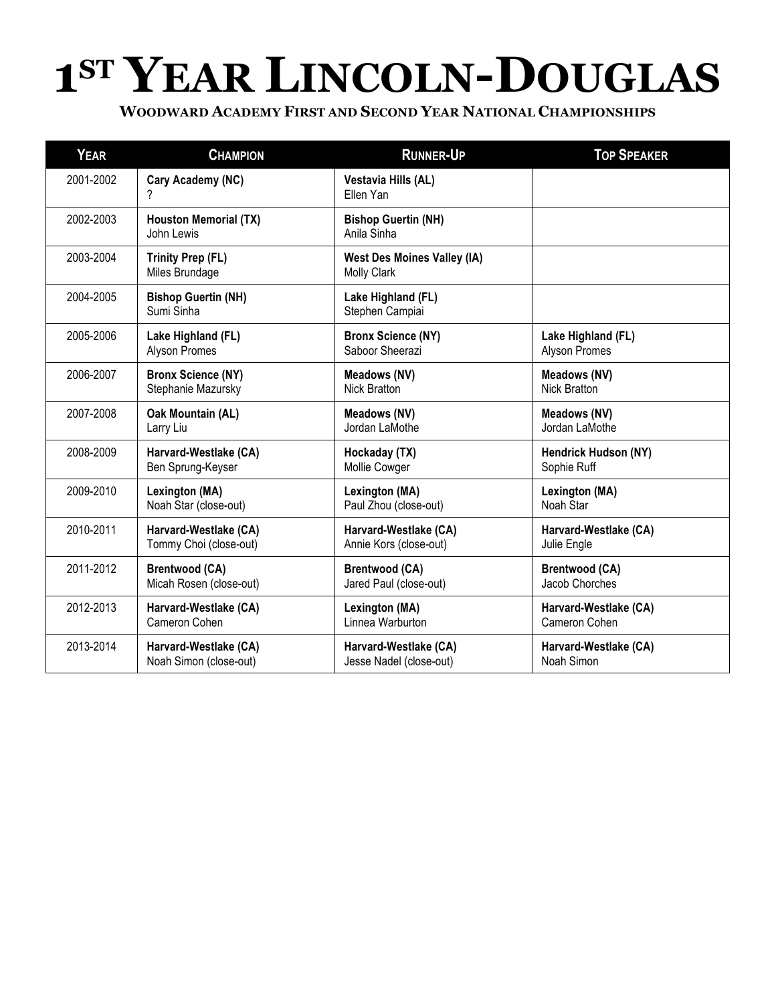## **1ST YEAR LINCOLN-DOUGLAS**

| <b>YEAR</b> | <b>CHAMPION</b>                            | <b>RUNNER-UP</b>                                         | <b>TOP SPEAKER</b>    |
|-------------|--------------------------------------------|----------------------------------------------------------|-----------------------|
| 2001-2002   | Cary Academy (NC)<br>?                     | Vestavia Hills (AL)<br>Ellen Yan                         |                       |
| 2002-2003   | <b>Houston Memorial (TX)</b><br>John Lewis | <b>Bishop Guertin (NH)</b><br>Anila Sinha                |                       |
| 2003-2004   | <b>Trinity Prep (FL)</b><br>Miles Brundage | <b>West Des Moines Valley (IA)</b><br><b>Molly Clark</b> |                       |
| 2004-2005   | <b>Bishop Guertin (NH)</b><br>Sumi Sinha   | Lake Highland (FL)<br>Stephen Campiai                    |                       |
| 2005-2006   | Lake Highland (FL)                         | <b>Bronx Science (NY)</b>                                | Lake Highland (FL)    |
|             | Alyson Promes                              | Saboor Sheerazi                                          | Alyson Promes         |
| 2006-2007   | <b>Bronx Science (NY)</b>                  | Meadows (NV)                                             | Meadows (NV)          |
|             | Stephanie Mazursky                         | <b>Nick Bratton</b>                                      | <b>Nick Bratton</b>   |
| 2007-2008   | Oak Mountain (AL)                          | Meadows (NV)                                             | <b>Meadows (NV)</b>   |
|             | Larry Liu                                  | Jordan LaMothe                                           | Jordan LaMothe        |
| 2008-2009   | Harvard-Westlake (CA)                      | Hockaday (TX)                                            | Hendrick Hudson (NY)  |
|             | Ben Sprung-Keyser                          | Mollie Cowger                                            | Sophie Ruff           |
| 2009-2010   | Lexington (MA)                             | Lexington (MA)                                           | Lexington (MA)        |
|             | Noah Star (close-out)                      | Paul Zhou (close-out)                                    | Noah Star             |
| 2010-2011   | Harvard-Westlake (CA)                      | Harvard-Westlake (CA)                                    | Harvard-Westlake (CA) |
|             | Tommy Choi (close-out)                     | Annie Kors (close-out)                                   | Julie Engle           |
| 2011-2012   | <b>Brentwood (CA)</b>                      | <b>Brentwood (CA)</b>                                    | <b>Brentwood (CA)</b> |
|             | Micah Rosen (close-out)                    | Jared Paul (close-out)                                   | Jacob Chorches        |
| 2012-2013   | Harvard-Westlake (CA)                      | Lexington (MA)                                           | Harvard-Westlake (CA) |
|             | Cameron Cohen                              | Linnea Warburton                                         | Cameron Cohen         |
| 2013-2014   | Harvard-Westlake (CA)                      | Harvard-Westlake (CA)                                    | Harvard-Westlake (CA) |
|             | Noah Simon (close-out)                     | Jesse Nadel (close-out)                                  | Noah Simon            |